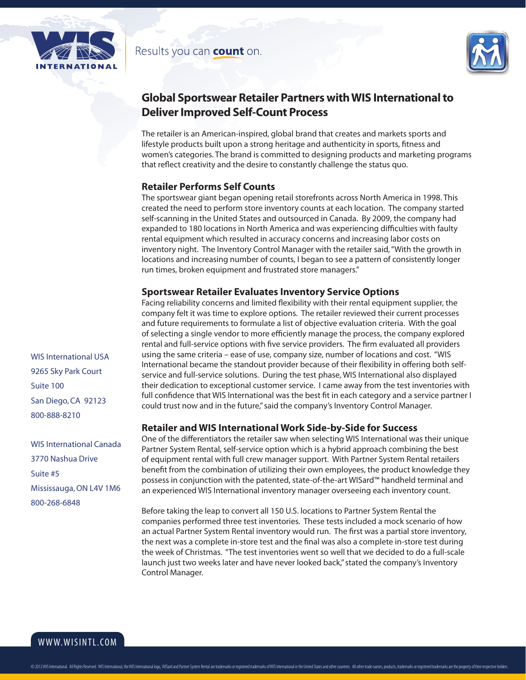



# **Global Sportswear Retailer Partners with WIS International to Deliver Improved Self-Count Process**

The retailer is an American-inspired, global brand that creates and markets sports and lifestyle products built upon a strong heritage and authenticity in sports, fitness and women's categories. The brand is committed to designing products and marketing programs that reflect creativity and the desire to constantly challenge the status quo.

#### **Retailer Performs Self Counts**

The sportswear giant began opening retail storefronts across North America in 1998. This created the need to perform store inventory counts at each location. The company started self-scanning in the United States and outsourced in Canada. By 2009, the company had expanded to 180 locations in North America and was experiencing difficulties with faulty rental equipment which resulted in accuracy concerns and increasing labor costs on inventory night. The Inventory Control Manager with the retailer said, "With the growth in locations and increasing number of counts, I began to see a pattern of consistently longer run times, broken equipment and frustrated store managers."

## **Sportswear Retailer Evaluates Inventory Service Options**

Facing reliability concerns and limited flexibility with their rental equipment supplier, the company felt it was time to explore options. The retailer reviewed their current processes and future requirements to formulate a list of objective evaluation criteria. With the goal of selecting a single vendor to more efficiently manage the process, the company explored rental and full-service options with five service providers. The firm evaluated all providers using the same criteria – ease of use, company size, number of locations and cost. "WIS International became the standout provider because of their flexibility in offering both selfservice and full-service solutions. During the test phase, WIS International also displayed their dedication to exceptional customer service. I came away from the test inventories with full confidence that WIS International was the best fit in each category and a service partner I could trust now and in the future," said the company's Inventory Control Manager.

## **Retailer and WIS International Work Side-by-Side for Success**

One of the differentiators the retailer saw when selecting WIS International was their unique Partner System Rental, self-service option which is a hybrid approach combining the best of equipment rental with full crew manager support. With Partner System Rental retailers benefit from the combination of utilizing their own employees, the product knowledge they possess in conjunction with the patented, state-of-the-art WISard™ handheld terminal and an experienced WIS International inventory manager overseeing each inventory count.

Before taking the leap to convert all 150 U.S. locations to Partner System Rental the companies performed three test inventories. These tests included a mock scenario of how an actual Partner System Rental inventory would run. The first was a partial store inventory, the next was a complete in-store test and the final was also a complete in-store test during the week of Christmas. "The test inventories went so well that we decided to do a full-scale launch just two weeks later and have never looked back," stated the company's Inventory Control Manager.

WIS International USA 9265 Sky Park Court Suite 100 San Diego, CA 92123 800-888-8210

WIS International Canada 3770 Nashua Drive Suite #5 Mississauga, ON L4V 1M6 800-268-6848

www.wisintl.com